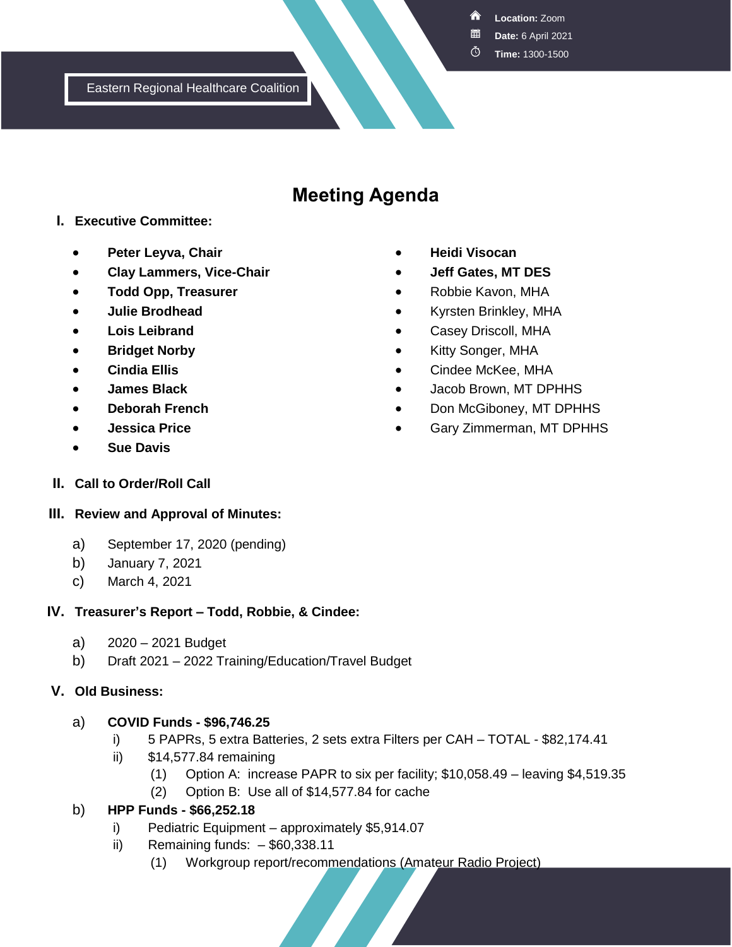<mark>а</mark> **Location:** Zoom

**Date:** 6 April 2021

 $\circledcirc$ **Time:** 1300-1500

Eastern Regional Healthcare Coalition

# **Meeting Agenda**

#### **I. Executive Committee:**

- **Peter Leyva, Chair**
- **Clay Lammers, Vice-Chair**
- **Todd Opp, Treasurer**
- **Julie Brodhead**
- **Lois Leibrand**
- **Bridget Norby**
- **Cindia Ellis**
- **James Black**
- **Deborah French**
- **Jessica Price**
- **Sue Davis**
- **Heidi Visocan**
- **Jeff Gates, MT DES**
- Robbie Kavon, MHA
- Kyrsten Brinkley, MHA
- Casey Driscoll, MHA
- **Kitty Songer, MHA**
- Cindee McKee, MHA
- Jacob Brown, MT DPHHS
- Don McGiboney, MT DPHHS
- Gary Zimmerman, MT DPHHS

**II. Call to Order/Roll Call**

#### **III. Review and Approval of Minutes:**

- a) September 17, 2020 (pending)
- b) January 7, 2021
- c) March 4, 2021

#### **IV. Treasurer's Report – Todd, Robbie, & Cindee:**

- a) 2020 2021 Budget
- b) Draft 2021 2022 Training/Education/Travel Budget

#### **V. Old Business:**

#### a) **COVID Funds - \$96,746.25**

- i) 5 PAPRs, 5 extra Batteries, 2 sets extra Filters per CAH TOTAL \$82,174.41
- ii) \$14,577.84 remaining
	- (1) Option A: increase PAPR to six per facility; \$10,058.49 leaving \$4,519.35
	- (2) Option B: Use all of \$14,577.84 for cache

## b) **HPP Funds - \$66,252.18**

- i) Pediatric Equipment approximately \$5,914.07
- ii) Remaining funds:  $-$ \$60,338.11
	- (1) Workgroup report/recommendations (Amateur Radio Project)